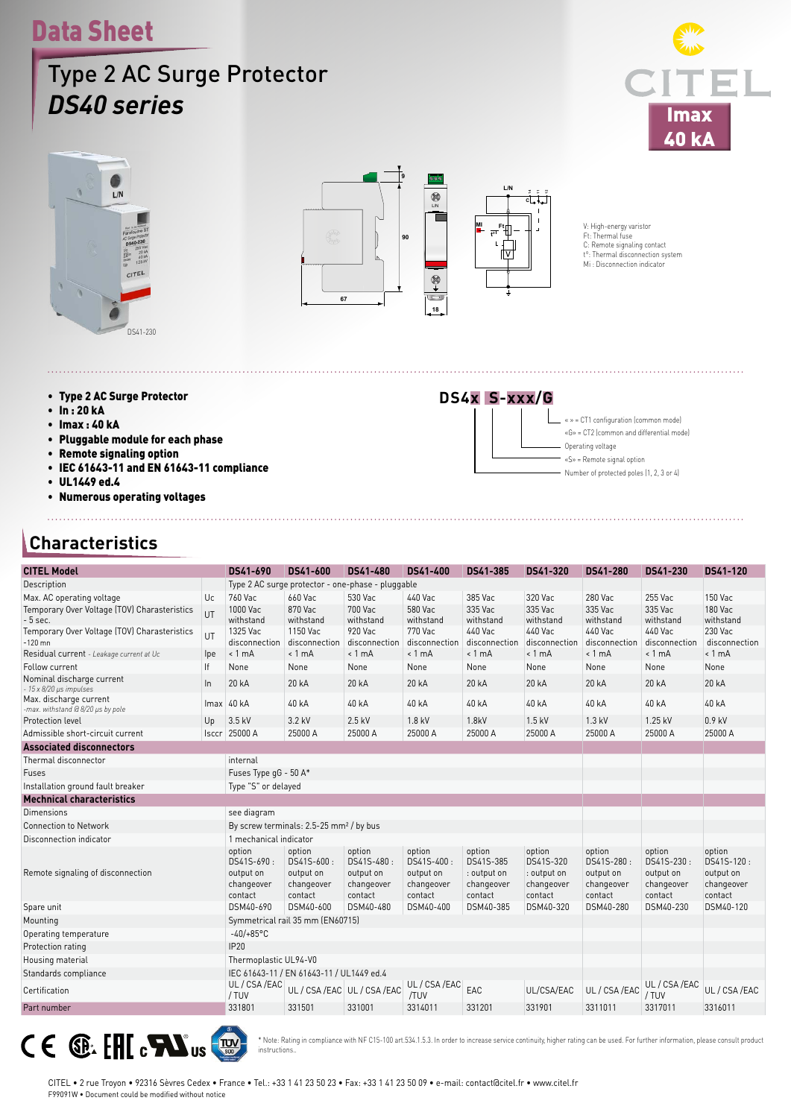## Data Sheet

### Type 2 AC Surge Protector *DS40 series*







**DS4x S-xxx/G**

V: High-energy varistor Ft: Thermal fuse C: Remote signaling contact t°: Thermal disconnection system Mi : Disconnection indicator

« » = CT1 configuration (common mode) «G» = CT2 (common and differential mode)

Operating voltage «S» = Remote signal option - Number of protected poles (1, 2, 3 or 4)

- Type 2 AC Surge Protector
- In : 20 kA
- Imax : 40 kA
- Pluggable module for each phase
- Remote signaling option

 $C \in \mathbb{G}$ . [A]  $\cdot \mathbf{W}$ <sub>us</sub>

- IEC 61643-11 and EN 61643-11 compliance
- UL1449 ed.4
- Numerous operating voltages

#### **Characteristics**

| Description<br>Type 2 AC surge protector - one-phase - pluggable<br>760 Vac<br>660 Vac<br>Max. AC operating voltage<br>530 Vac<br>440 Vac<br>385 Vac<br>320 Vac<br>280 Vac<br>255 Vac<br>150 Vac<br>Uc<br>Temporary Over Voltage (TOV) Charasteristics<br>1000 Vac<br>870 Vac<br>700 Vac<br>580 Vac<br>335 Vac<br>335 Vac<br>335 Vac<br>335 Vac<br>180 Vac<br>UT<br>withstand<br>withstand<br>withstand<br>withstand<br>withstand<br>withstand<br>withstand<br>withstand<br>withstand<br>$-5$ sec.<br>1325 Vac<br>1150 Vac<br>920 Vac<br>230 Vac<br>Temporary Over Voltage (TOV) Charasteristics<br>770 Vac<br>440 Vac<br>440 Vac<br>440 Vac<br>440 Vac<br>UT<br>disconnection<br>disconnection<br>disconnection<br>disconnection<br>disconnection<br>disconnection<br>disconnection<br>disconnection<br>disconnection<br>$-120$ mn<br>$< 1$ mA<br>$< 1$ mA<br>$< 1$ mA<br>$< 1$ mA<br>$< 1$ mA<br>$< 1$ mA<br>$< 1$ mA<br>$< 1$ mA<br>$< 1$ mA<br>Residual current - Leakage current at Uc<br>Ipe<br>lf<br>Follow current<br>None<br>None<br>None<br>None<br>None<br>None<br>None<br>None<br>None<br>Nominal discharge current<br>20 kA<br>20 kA<br>20 kA<br>20 kA<br>20 kA<br>20 kA<br>20 kA<br>20 kA<br>20 kA<br>In<br>$-15 \times 8/20$ µs impulses<br>Max. discharge current<br>40 kA<br>40 kA<br>40 kA<br>40 kA<br>40 kA<br>40 kA<br>40 kA<br>40 kA<br>40 kA<br>lmax<br>-max. withstand @ 8/20 µs by pole<br>3.5 kV<br>3.2 kV<br>$2.5$ kV<br>$1.5$ kV<br>1.25 kV<br>$0.9$ kV<br>Protection level<br>$1.8$ kV<br>1.8kV<br>$1.3$ kV<br>Up<br>25000 A<br>25000 A<br>25000 A<br>25000 A<br>25000 A<br>25000 A<br>25000 A<br>25000 A<br>25000 A<br>Admissible short-circuit current<br>Isccr<br><b>Associated disconnectors</b><br>Thermal disconnector<br>internal<br>Fuses<br>Fuses Type gG - 50 A*<br>Installation ground fault breaker<br>Type "S" or delayed<br><b>Mechnical characteristics</b><br>Dimensions<br>see diagram<br><b>Connection to Network</b><br>By screw terminals: 2.5-25 mm <sup>2</sup> / by bus<br>1 mechanical indicator<br>Disconnection indicator<br>option<br>option<br>option<br>option<br>option<br>option<br>option<br>option<br>option<br>DS41S-480:<br>DS41S-400:<br>DS41S-385<br>DS41S-320<br>DS41S-280:<br>DS41S-230:<br>DS41S-120:<br>DS41S-690:<br>DS41S-600:<br>Remote signaling of disconnection<br>output on<br>output on<br>output on<br>output on<br>: output on<br>: output on<br>output on<br>output on<br>output on<br>changeover<br>changeover<br>changeover<br>changeover<br>changeover<br>changeover<br>changeover<br>changeover<br>changeover<br>contact<br>contact<br>contact<br>contact<br>contact<br>contact<br>contact<br>contact<br>contact<br>DSM40-600<br>DSM40-480<br>DSM40-120<br>DSM40-690<br>DSM40-400<br>DSM40-385<br>DSM40-320<br>DSM40-280<br>DSM40-230<br>Spare unit<br>Symmetrical rail 35 mm (EN60715)<br>Mounting<br>$-40/+85^{\circ}$ C<br>Operating temperature<br><b>IP20</b><br>Protection rating<br>Housing material<br>Thermoplastic UL94-V0<br>IEC 61643-11 / EN 61643-11 / UL1449 ed.4<br>Standards compliance<br>UL / CSA / EAC<br>UL / CSA / EAC<br>UL / CSA / EAC<br>UL / CSA / EAC UL / CSA / EAC<br>EAC<br>UL / CSA / EAC<br>UL/CSA/EAC<br>UL / CSA / EAC<br>Certification<br>/ TUV<br>/TUV<br>/ TUV<br>3316011<br>331801<br>331501<br>331001<br>3314011<br>331201<br>331901<br>3311011<br>3317011<br>Part number | <b>CITEL Model</b> |  | DS41-690 | DS41-600 | DS41-480 | DS41-400 | DS41-385 | DS41-320 | DS41-280 | DS41-230 | DS41-120 |
|------------------------------------------------------------------------------------------------------------------------------------------------------------------------------------------------------------------------------------------------------------------------------------------------------------------------------------------------------------------------------------------------------------------------------------------------------------------------------------------------------------------------------------------------------------------------------------------------------------------------------------------------------------------------------------------------------------------------------------------------------------------------------------------------------------------------------------------------------------------------------------------------------------------------------------------------------------------------------------------------------------------------------------------------------------------------------------------------------------------------------------------------------------------------------------------------------------------------------------------------------------------------------------------------------------------------------------------------------------------------------------------------------------------------------------------------------------------------------------------------------------------------------------------------------------------------------------------------------------------------------------------------------------------------------------------------------------------------------------------------------------------------------------------------------------------------------------------------------------------------------------------------------------------------------------------------------------------------------------------------------------------------------------------------------------------------------------------------------------------------------------------------------------------------------------------------------------------------------------------------------------------------------------------------------------------------------------------------------------------------------------------------------------------------------------------------------------------------------------------------------------------------------------------------------------------------------------------------------------------------------------------------------------------------------------------------------------------------------------------------------------------------------------------------------------------------------------------------------------------------------------------------------------------------------------------------------------------------------------------------------------------------------------------------------------------------------------------------------------------------------------------------------------------------------------------------------------------------------------------------------------------------------------------------------------------------------------------------------------------------------------------------------|--------------------|--|----------|----------|----------|----------|----------|----------|----------|----------|----------|
|                                                                                                                                                                                                                                                                                                                                                                                                                                                                                                                                                                                                                                                                                                                                                                                                                                                                                                                                                                                                                                                                                                                                                                                                                                                                                                                                                                                                                                                                                                                                                                                                                                                                                                                                                                                                                                                                                                                                                                                                                                                                                                                                                                                                                                                                                                                                                                                                                                                                                                                                                                                                                                                                                                                                                                                                                                                                                                                                                                                                                                                                                                                                                                                                                                                                                                                                                                                                      |                    |  |          |          |          |          |          |          |          |          |          |
|                                                                                                                                                                                                                                                                                                                                                                                                                                                                                                                                                                                                                                                                                                                                                                                                                                                                                                                                                                                                                                                                                                                                                                                                                                                                                                                                                                                                                                                                                                                                                                                                                                                                                                                                                                                                                                                                                                                                                                                                                                                                                                                                                                                                                                                                                                                                                                                                                                                                                                                                                                                                                                                                                                                                                                                                                                                                                                                                                                                                                                                                                                                                                                                                                                                                                                                                                                                                      |                    |  |          |          |          |          |          |          |          |          |          |
|                                                                                                                                                                                                                                                                                                                                                                                                                                                                                                                                                                                                                                                                                                                                                                                                                                                                                                                                                                                                                                                                                                                                                                                                                                                                                                                                                                                                                                                                                                                                                                                                                                                                                                                                                                                                                                                                                                                                                                                                                                                                                                                                                                                                                                                                                                                                                                                                                                                                                                                                                                                                                                                                                                                                                                                                                                                                                                                                                                                                                                                                                                                                                                                                                                                                                                                                                                                                      |                    |  |          |          |          |          |          |          |          |          |          |
|                                                                                                                                                                                                                                                                                                                                                                                                                                                                                                                                                                                                                                                                                                                                                                                                                                                                                                                                                                                                                                                                                                                                                                                                                                                                                                                                                                                                                                                                                                                                                                                                                                                                                                                                                                                                                                                                                                                                                                                                                                                                                                                                                                                                                                                                                                                                                                                                                                                                                                                                                                                                                                                                                                                                                                                                                                                                                                                                                                                                                                                                                                                                                                                                                                                                                                                                                                                                      |                    |  |          |          |          |          |          |          |          |          |          |
|                                                                                                                                                                                                                                                                                                                                                                                                                                                                                                                                                                                                                                                                                                                                                                                                                                                                                                                                                                                                                                                                                                                                                                                                                                                                                                                                                                                                                                                                                                                                                                                                                                                                                                                                                                                                                                                                                                                                                                                                                                                                                                                                                                                                                                                                                                                                                                                                                                                                                                                                                                                                                                                                                                                                                                                                                                                                                                                                                                                                                                                                                                                                                                                                                                                                                                                                                                                                      |                    |  |          |          |          |          |          |          |          |          |          |
|                                                                                                                                                                                                                                                                                                                                                                                                                                                                                                                                                                                                                                                                                                                                                                                                                                                                                                                                                                                                                                                                                                                                                                                                                                                                                                                                                                                                                                                                                                                                                                                                                                                                                                                                                                                                                                                                                                                                                                                                                                                                                                                                                                                                                                                                                                                                                                                                                                                                                                                                                                                                                                                                                                                                                                                                                                                                                                                                                                                                                                                                                                                                                                                                                                                                                                                                                                                                      |                    |  |          |          |          |          |          |          |          |          |          |
|                                                                                                                                                                                                                                                                                                                                                                                                                                                                                                                                                                                                                                                                                                                                                                                                                                                                                                                                                                                                                                                                                                                                                                                                                                                                                                                                                                                                                                                                                                                                                                                                                                                                                                                                                                                                                                                                                                                                                                                                                                                                                                                                                                                                                                                                                                                                                                                                                                                                                                                                                                                                                                                                                                                                                                                                                                                                                                                                                                                                                                                                                                                                                                                                                                                                                                                                                                                                      |                    |  |          |          |          |          |          |          |          |          |          |
|                                                                                                                                                                                                                                                                                                                                                                                                                                                                                                                                                                                                                                                                                                                                                                                                                                                                                                                                                                                                                                                                                                                                                                                                                                                                                                                                                                                                                                                                                                                                                                                                                                                                                                                                                                                                                                                                                                                                                                                                                                                                                                                                                                                                                                                                                                                                                                                                                                                                                                                                                                                                                                                                                                                                                                                                                                                                                                                                                                                                                                                                                                                                                                                                                                                                                                                                                                                                      |                    |  |          |          |          |          |          |          |          |          |          |
|                                                                                                                                                                                                                                                                                                                                                                                                                                                                                                                                                                                                                                                                                                                                                                                                                                                                                                                                                                                                                                                                                                                                                                                                                                                                                                                                                                                                                                                                                                                                                                                                                                                                                                                                                                                                                                                                                                                                                                                                                                                                                                                                                                                                                                                                                                                                                                                                                                                                                                                                                                                                                                                                                                                                                                                                                                                                                                                                                                                                                                                                                                                                                                                                                                                                                                                                                                                                      |                    |  |          |          |          |          |          |          |          |          |          |
|                                                                                                                                                                                                                                                                                                                                                                                                                                                                                                                                                                                                                                                                                                                                                                                                                                                                                                                                                                                                                                                                                                                                                                                                                                                                                                                                                                                                                                                                                                                                                                                                                                                                                                                                                                                                                                                                                                                                                                                                                                                                                                                                                                                                                                                                                                                                                                                                                                                                                                                                                                                                                                                                                                                                                                                                                                                                                                                                                                                                                                                                                                                                                                                                                                                                                                                                                                                                      |                    |  |          |          |          |          |          |          |          |          |          |
|                                                                                                                                                                                                                                                                                                                                                                                                                                                                                                                                                                                                                                                                                                                                                                                                                                                                                                                                                                                                                                                                                                                                                                                                                                                                                                                                                                                                                                                                                                                                                                                                                                                                                                                                                                                                                                                                                                                                                                                                                                                                                                                                                                                                                                                                                                                                                                                                                                                                                                                                                                                                                                                                                                                                                                                                                                                                                                                                                                                                                                                                                                                                                                                                                                                                                                                                                                                                      |                    |  |          |          |          |          |          |          |          |          |          |
|                                                                                                                                                                                                                                                                                                                                                                                                                                                                                                                                                                                                                                                                                                                                                                                                                                                                                                                                                                                                                                                                                                                                                                                                                                                                                                                                                                                                                                                                                                                                                                                                                                                                                                                                                                                                                                                                                                                                                                                                                                                                                                                                                                                                                                                                                                                                                                                                                                                                                                                                                                                                                                                                                                                                                                                                                                                                                                                                                                                                                                                                                                                                                                                                                                                                                                                                                                                                      |                    |  |          |          |          |          |          |          |          |          |          |
|                                                                                                                                                                                                                                                                                                                                                                                                                                                                                                                                                                                                                                                                                                                                                                                                                                                                                                                                                                                                                                                                                                                                                                                                                                                                                                                                                                                                                                                                                                                                                                                                                                                                                                                                                                                                                                                                                                                                                                                                                                                                                                                                                                                                                                                                                                                                                                                                                                                                                                                                                                                                                                                                                                                                                                                                                                                                                                                                                                                                                                                                                                                                                                                                                                                                                                                                                                                                      |                    |  |          |          |          |          |          |          |          |          |          |
|                                                                                                                                                                                                                                                                                                                                                                                                                                                                                                                                                                                                                                                                                                                                                                                                                                                                                                                                                                                                                                                                                                                                                                                                                                                                                                                                                                                                                                                                                                                                                                                                                                                                                                                                                                                                                                                                                                                                                                                                                                                                                                                                                                                                                                                                                                                                                                                                                                                                                                                                                                                                                                                                                                                                                                                                                                                                                                                                                                                                                                                                                                                                                                                                                                                                                                                                                                                                      |                    |  |          |          |          |          |          |          |          |          |          |
|                                                                                                                                                                                                                                                                                                                                                                                                                                                                                                                                                                                                                                                                                                                                                                                                                                                                                                                                                                                                                                                                                                                                                                                                                                                                                                                                                                                                                                                                                                                                                                                                                                                                                                                                                                                                                                                                                                                                                                                                                                                                                                                                                                                                                                                                                                                                                                                                                                                                                                                                                                                                                                                                                                                                                                                                                                                                                                                                                                                                                                                                                                                                                                                                                                                                                                                                                                                                      |                    |  |          |          |          |          |          |          |          |          |          |
|                                                                                                                                                                                                                                                                                                                                                                                                                                                                                                                                                                                                                                                                                                                                                                                                                                                                                                                                                                                                                                                                                                                                                                                                                                                                                                                                                                                                                                                                                                                                                                                                                                                                                                                                                                                                                                                                                                                                                                                                                                                                                                                                                                                                                                                                                                                                                                                                                                                                                                                                                                                                                                                                                                                                                                                                                                                                                                                                                                                                                                                                                                                                                                                                                                                                                                                                                                                                      |                    |  |          |          |          |          |          |          |          |          |          |
|                                                                                                                                                                                                                                                                                                                                                                                                                                                                                                                                                                                                                                                                                                                                                                                                                                                                                                                                                                                                                                                                                                                                                                                                                                                                                                                                                                                                                                                                                                                                                                                                                                                                                                                                                                                                                                                                                                                                                                                                                                                                                                                                                                                                                                                                                                                                                                                                                                                                                                                                                                                                                                                                                                                                                                                                                                                                                                                                                                                                                                                                                                                                                                                                                                                                                                                                                                                                      |                    |  |          |          |          |          |          |          |          |          |          |
|                                                                                                                                                                                                                                                                                                                                                                                                                                                                                                                                                                                                                                                                                                                                                                                                                                                                                                                                                                                                                                                                                                                                                                                                                                                                                                                                                                                                                                                                                                                                                                                                                                                                                                                                                                                                                                                                                                                                                                                                                                                                                                                                                                                                                                                                                                                                                                                                                                                                                                                                                                                                                                                                                                                                                                                                                                                                                                                                                                                                                                                                                                                                                                                                                                                                                                                                                                                                      |                    |  |          |          |          |          |          |          |          |          |          |
|                                                                                                                                                                                                                                                                                                                                                                                                                                                                                                                                                                                                                                                                                                                                                                                                                                                                                                                                                                                                                                                                                                                                                                                                                                                                                                                                                                                                                                                                                                                                                                                                                                                                                                                                                                                                                                                                                                                                                                                                                                                                                                                                                                                                                                                                                                                                                                                                                                                                                                                                                                                                                                                                                                                                                                                                                                                                                                                                                                                                                                                                                                                                                                                                                                                                                                                                                                                                      |                    |  |          |          |          |          |          |          |          |          |          |
|                                                                                                                                                                                                                                                                                                                                                                                                                                                                                                                                                                                                                                                                                                                                                                                                                                                                                                                                                                                                                                                                                                                                                                                                                                                                                                                                                                                                                                                                                                                                                                                                                                                                                                                                                                                                                                                                                                                                                                                                                                                                                                                                                                                                                                                                                                                                                                                                                                                                                                                                                                                                                                                                                                                                                                                                                                                                                                                                                                                                                                                                                                                                                                                                                                                                                                                                                                                                      |                    |  |          |          |          |          |          |          |          |          |          |
|                                                                                                                                                                                                                                                                                                                                                                                                                                                                                                                                                                                                                                                                                                                                                                                                                                                                                                                                                                                                                                                                                                                                                                                                                                                                                                                                                                                                                                                                                                                                                                                                                                                                                                                                                                                                                                                                                                                                                                                                                                                                                                                                                                                                                                                                                                                                                                                                                                                                                                                                                                                                                                                                                                                                                                                                                                                                                                                                                                                                                                                                                                                                                                                                                                                                                                                                                                                                      |                    |  |          |          |          |          |          |          |          |          |          |
|                                                                                                                                                                                                                                                                                                                                                                                                                                                                                                                                                                                                                                                                                                                                                                                                                                                                                                                                                                                                                                                                                                                                                                                                                                                                                                                                                                                                                                                                                                                                                                                                                                                                                                                                                                                                                                                                                                                                                                                                                                                                                                                                                                                                                                                                                                                                                                                                                                                                                                                                                                                                                                                                                                                                                                                                                                                                                                                                                                                                                                                                                                                                                                                                                                                                                                                                                                                                      |                    |  |          |          |          |          |          |          |          |          |          |
|                                                                                                                                                                                                                                                                                                                                                                                                                                                                                                                                                                                                                                                                                                                                                                                                                                                                                                                                                                                                                                                                                                                                                                                                                                                                                                                                                                                                                                                                                                                                                                                                                                                                                                                                                                                                                                                                                                                                                                                                                                                                                                                                                                                                                                                                                                                                                                                                                                                                                                                                                                                                                                                                                                                                                                                                                                                                                                                                                                                                                                                                                                                                                                                                                                                                                                                                                                                                      |                    |  |          |          |          |          |          |          |          |          |          |
|                                                                                                                                                                                                                                                                                                                                                                                                                                                                                                                                                                                                                                                                                                                                                                                                                                                                                                                                                                                                                                                                                                                                                                                                                                                                                                                                                                                                                                                                                                                                                                                                                                                                                                                                                                                                                                                                                                                                                                                                                                                                                                                                                                                                                                                                                                                                                                                                                                                                                                                                                                                                                                                                                                                                                                                                                                                                                                                                                                                                                                                                                                                                                                                                                                                                                                                                                                                                      |                    |  |          |          |          |          |          |          |          |          |          |
|                                                                                                                                                                                                                                                                                                                                                                                                                                                                                                                                                                                                                                                                                                                                                                                                                                                                                                                                                                                                                                                                                                                                                                                                                                                                                                                                                                                                                                                                                                                                                                                                                                                                                                                                                                                                                                                                                                                                                                                                                                                                                                                                                                                                                                                                                                                                                                                                                                                                                                                                                                                                                                                                                                                                                                                                                                                                                                                                                                                                                                                                                                                                                                                                                                                                                                                                                                                                      |                    |  |          |          |          |          |          |          |          |          |          |
|                                                                                                                                                                                                                                                                                                                                                                                                                                                                                                                                                                                                                                                                                                                                                                                                                                                                                                                                                                                                                                                                                                                                                                                                                                                                                                                                                                                                                                                                                                                                                                                                                                                                                                                                                                                                                                                                                                                                                                                                                                                                                                                                                                                                                                                                                                                                                                                                                                                                                                                                                                                                                                                                                                                                                                                                                                                                                                                                                                                                                                                                                                                                                                                                                                                                                                                                                                                                      |                    |  |          |          |          |          |          |          |          |          |          |
|                                                                                                                                                                                                                                                                                                                                                                                                                                                                                                                                                                                                                                                                                                                                                                                                                                                                                                                                                                                                                                                                                                                                                                                                                                                                                                                                                                                                                                                                                                                                                                                                                                                                                                                                                                                                                                                                                                                                                                                                                                                                                                                                                                                                                                                                                                                                                                                                                                                                                                                                                                                                                                                                                                                                                                                                                                                                                                                                                                                                                                                                                                                                                                                                                                                                                                                                                                                                      |                    |  |          |          |          |          |          |          |          |          |          |

\* Note: Rating in compliance with NF C15-100 art.534.1.5.3. In order to increase service continuity, higher rating can be used. For further information, please consult product instructions..

 $TUV$